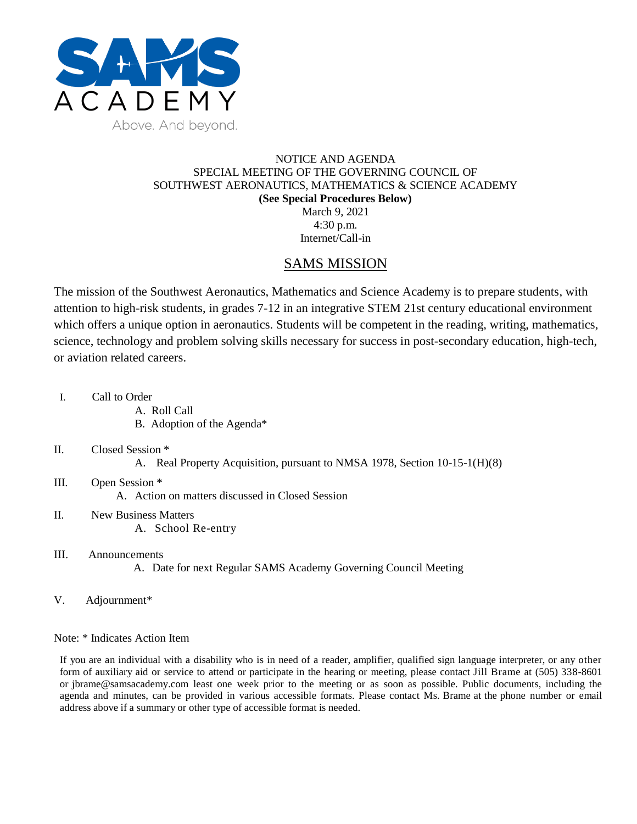

## NOTICE AND AGENDA SPECIAL MEETING OF THE GOVERNING COUNCIL OF SOUTHWEST AERONAUTICS, MATHEMATICS & SCIENCE ACADEMY **(See Special Procedures Below)** March 9, 2021 4:30 p.m.

Internet/Call-in

## SAMS MISSION

The mission of the Southwest Aeronautics, Mathematics and Science Academy is to prepare students, with attention to high-risk students, in grades 7-12 in an integrative STEM 21st century educational environment which offers a unique option in aeronautics. Students will be competent in the reading, writing, mathematics, science, technology and problem solving skills necessary for success in post-secondary education, high-tech, or aviation related careers.

- I. Call to Order
	- A. Roll Call
	- B. Adoption of the Agenda\*
- II. Closed Session \*
	- A. Real Property Acquisition, pursuant to NMSA 1978, Section 10-15-1(H)(8)
- III. Open Session \* A. Action on matters discussed in Closed Session
- II. New Business Matters A. School Re-entry
- III. Announcements
	- A. Date for next Regular SAMS Academy Governing Council Meeting
- V. Adjournment\*

Note: \* Indicates Action Item

If you are an individual with a disability who is in need of a reader, amplifier, qualified sign language interpreter, or any other form of auxiliary aid or service to attend or participate in the hearing or meeting, please contact Jill Brame at (505) 338-8601 or jbrame@samsacademy.com least one week prior to the meeting or as soon as possible. Public documents, including the agenda and minutes, can be provided in various accessible formats. Please contact Ms. Brame at the phone number or email address above if a summary or other type of accessible format is needed.